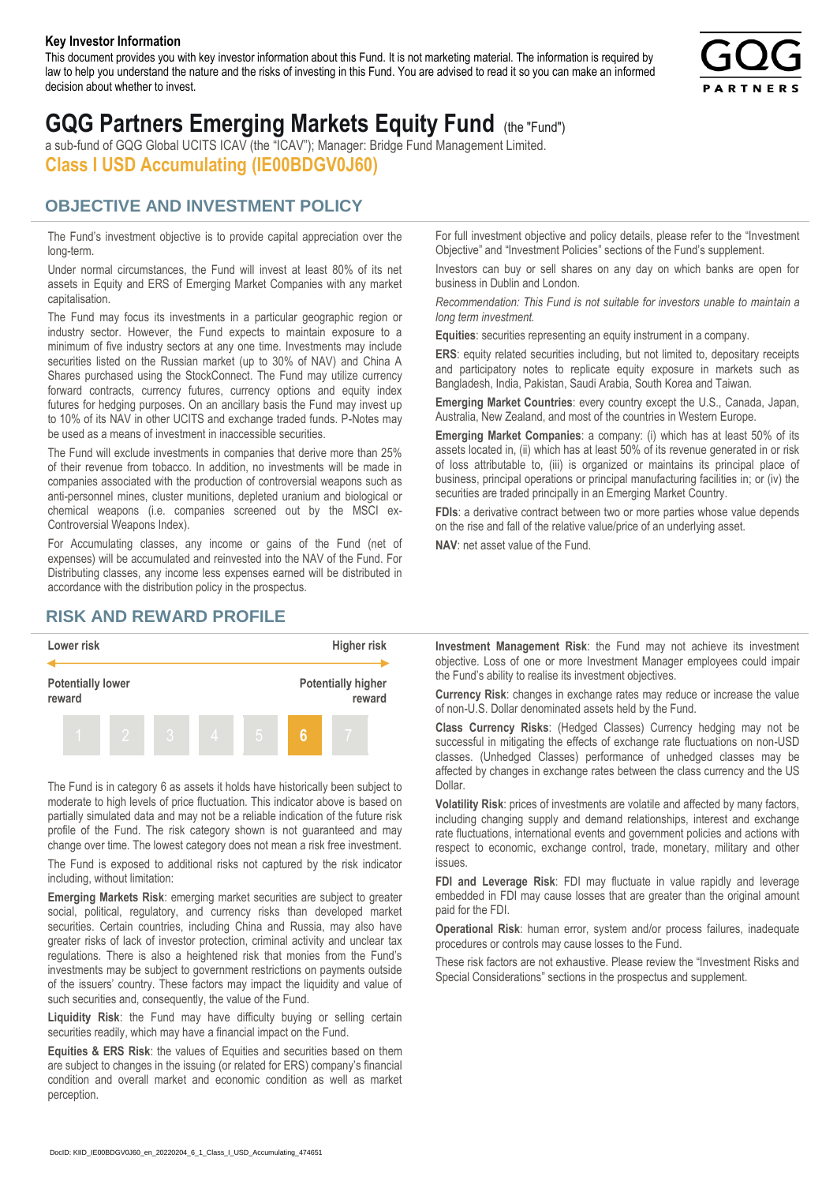#### **Key Investor Information**

This document provides you with key investor information about this Fund. It is not marketing material. The information is required by law to help you understand the nature and the risks of investing in this Fund. You are advised to read it so you can make an informed decision about whether to invest.



# **GQG Partners Emerging Markets Equity Fund** (the "Fund")

a sub-fund of GQG Global UCITS ICAV (the "ICAV"); Manager: Bridge Fund Management Limited. **Class I USD Accumulating (IE00BDGV0J60)**

### **OBJECTIVE AND INVESTMENT POLICY**

The Fund's investment objective is to provide capital appreciation over the long-term.

Under normal circumstances, the Fund will invest at least 80% of its net assets in Equity and ERS of Emerging Market Companies with any market capitalisation.

The Fund may focus its investments in a particular geographic region or industry sector. However, the Fund expects to maintain exposure to a minimum of five industry sectors at any one time. Investments may include securities listed on the Russian market (up to 30% of NAV) and China A Shares purchased using the StockConnect. The Fund may utilize currency forward contracts, currency futures, currency options and equity index futures for hedging purposes. On an ancillary basis the Fund may invest up to 10% of its NAV in other UCITS and exchange traded funds. P-Notes may be used as a means of investment in inaccessible securities.

The Fund will exclude investments in companies that derive more than 25% of their revenue from tobacco. In addition, no investments will be made in companies associated with the production of controversial weapons such as anti-personnel mines, cluster munitions, depleted uranium and biological or chemical weapons (i.e. companies screened out by the MSCI ex-Controversial Weapons Index).

For Accumulating classes, any income or gains of the Fund (net of expenses) will be accumulated and reinvested into the NAV of the Fund. For Distributing classes, any income less expenses earned will be distributed in accordance with the distribution policy in the prospectus.

## **RISK AND REWARD PROFILE**



The Fund is in category 6 as assets it holds have historically been subject to moderate to high levels of price fluctuation. This indicator above is based on partially simulated data and may not be a reliable indication of the future risk profile of the Fund. The risk category shown is not guaranteed and may change over time. The lowest category does not mean a risk free investment.

The Fund is exposed to additional risks not captured by the risk indicator including, without limitation:

**Emerging Markets Risk**: emerging market securities are subject to greater social, political, regulatory, and currency risks than developed market securities. Certain countries, including China and Russia, may also have greater risks of lack of investor protection, criminal activity and unclear tax regulations. There is also a heightened risk that monies from the Fund's investments may be subject to government restrictions on payments outside of the issuers' country. These factors may impact the liquidity and value of such securities and, consequently, the value of the Fund.

**Liquidity Risk**: the Fund may have difficulty buying or selling certain securities readily, which may have a financial impact on the Fund.

**Equities & ERS Risk**: the values of Equities and securities based on them are subject to changes in the issuing (or related for ERS) company's financial condition and overall market and economic condition as well as market perception.

For full investment objective and policy details, please refer to the "Investment Objective" and "Investment Policies" sections of the Fund's supplement.

Investors can buy or sell shares on any day on which banks are open for business in Dublin and London.

*Recommendation: This Fund is not suitable for investors unable to maintain a long term investment.*

**Equities**: securities representing an equity instrument in a company.

**ERS:** equity related securities including, but not limited to, depositary receipts and participatory notes to replicate equity exposure in markets such as Bangladesh, India, Pakistan, Saudi Arabia, South Korea and Taiwan.

**Emerging Market Countries**: every country except the U.S., Canada, Japan, Australia, New Zealand, and most of the countries in Western Europe.

**Emerging Market Companies**: a company: (i) which has at least 50% of its assets located in, (ii) which has at least 50% of its revenue generated in or risk of loss attributable to, (iii) is organized or maintains its principal place of business, principal operations or principal manufacturing facilities in; or (iv) the securities are traded principally in an Emerging Market Country.

**FDIs**: a derivative contract between two or more parties whose value depends on the rise and fall of the relative value/price of an underlying asset.

**NAV**: net asset value of the Fund.

**Investment Management Risk**: the Fund may not achieve its investment objective. Loss of one or more Investment Manager employees could impair the Fund's ability to realise its investment objectives.

**Currency Risk**: changes in exchange rates may reduce or increase the value of non-U.S. Dollar denominated assets held by the Fund.

**Class Currency Risks**: (Hedged Classes) Currency hedging may not be successful in mitigating the effects of exchange rate fluctuations on non-USD classes. (Unhedged Classes) performance of unhedged classes may be affected by changes in exchange rates between the class currency and the US Dollar.

**Volatility Risk**: prices of investments are volatile and affected by many factors, including changing supply and demand relationships, interest and exchange rate fluctuations, international events and government policies and actions with respect to economic, exchange control, trade, monetary, military and other issues.

**FDI and Leverage Risk**: FDI may fluctuate in value rapidly and leverage embedded in FDI may cause losses that are greater than the original amount paid for the FDI.

**Operational Risk**: human error, system and/or process failures, inadequate procedures or controls may cause losses to the Fund.

These risk factors are not exhaustive. Please review the "Investment Risks and Special Considerations" sections in the prospectus and supplement.